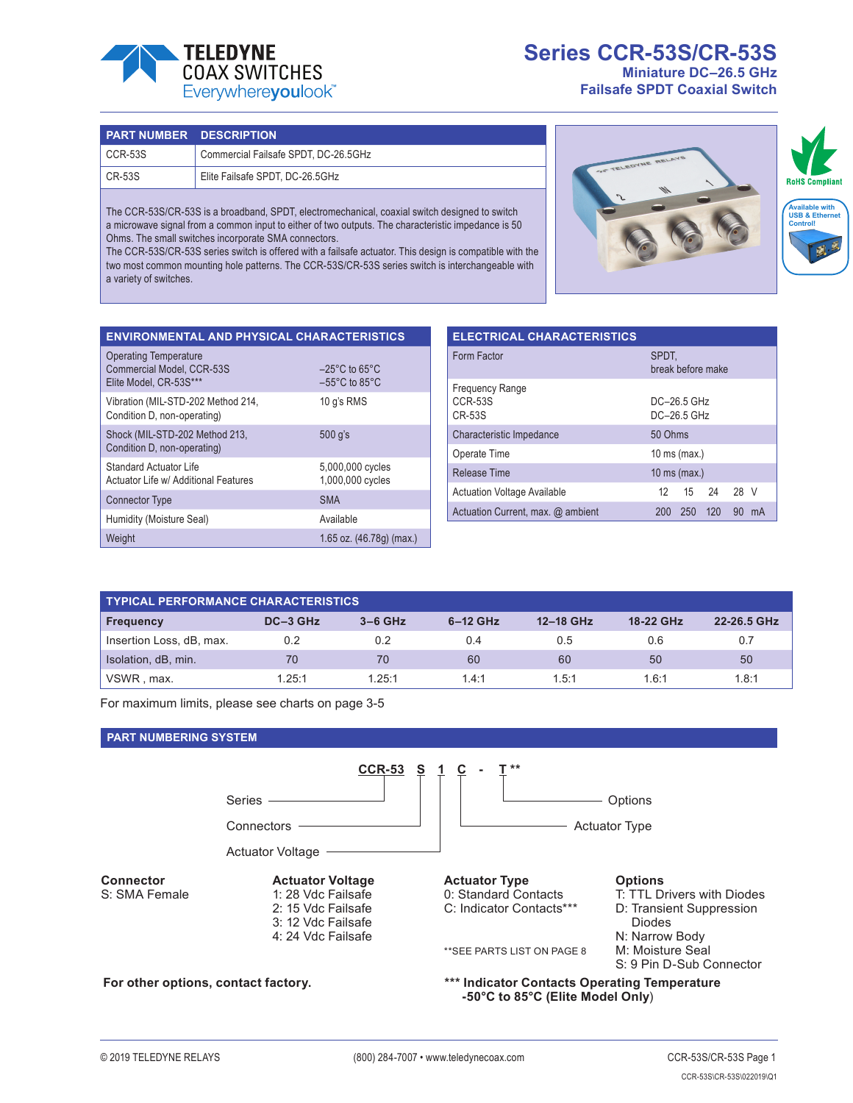

## **Series CCR-53S/CR-53S Miniature DC–26.5 GHz**

**Failsafe SPDT Coaxial Switch**

| <b>PART NUMBER DESCRIPTION</b> |                                      |
|--------------------------------|--------------------------------------|
| CCR-53S                        | Commercial Failsafe SPDT, DC-26.5GHz |
| CR-53S                         | Elite Failsafe SPDT, DC-26.5GHz      |

The CCR-53S/CR-53S is a broadband, SPDT, electromechanical, coaxial switch designed to switch a microwave signal from a common input to either of two outputs. The characteristic impedance is 50 Ohms. The small switches incorporate SMA connectors.

The CCR-53S/CR-53S series switch is offered with a failsafe actuator. This design is compatible with the two most common mounting hole patterns. The CCR-53S/CR-53S series switch is interchangeable with a variety of switches.



| <b>ENVIRONMENTAL AND PHYSICAL CHARACTERISTICS</b>                            |                                                                          |  |  |  |  |  |  |
|------------------------------------------------------------------------------|--------------------------------------------------------------------------|--|--|--|--|--|--|
| Operating Temperature<br>Commercial Model, CCR-53S<br>Elite Model. CR-53S*** | $-25^{\circ}$ C to 65 $^{\circ}$ C<br>$-55^{\circ}$ C to 85 $^{\circ}$ C |  |  |  |  |  |  |
| Vibration (MIL-STD-202 Method 214,<br>Condition D, non-operating)            | 10 g's RMS                                                               |  |  |  |  |  |  |
| Shock (MIL-STD-202 Method 213,<br>Condition D, non-operating)                | 500 q's                                                                  |  |  |  |  |  |  |
| <b>Standard Actuator Life</b><br>Actuator Life w/ Additional Features        | 5,000,000 cycles<br>1,000,000 cycles                                     |  |  |  |  |  |  |
| <b>Connector Type</b>                                                        | <b>SMA</b>                                                               |  |  |  |  |  |  |
| Humidity (Moisture Seal)                                                     | Available                                                                |  |  |  |  |  |  |
| Weight                                                                       | 1.65 oz. (46.78g) (max.)                                                 |  |  |  |  |  |  |

| <b>ELECTRICAL CHARACTERISTICS</b>                  |                              |     |      |      |    |  |
|----------------------------------------------------|------------------------------|-----|------|------|----|--|
| Form Factor                                        | SPDT.<br>break before make   |     |      |      |    |  |
| <b>Frequency Range</b><br>CCR-53S<br><b>CR-53S</b> | DC-26 5 GHz<br>$DC-26.5$ GHz |     |      |      |    |  |
| Characteristic Impedance                           | 50 Ohms                      |     |      |      |    |  |
| Operate Time<br>10 ms (max.)                       |                              |     |      |      |    |  |
| <b>Release Time</b><br>10 ms (max.)                |                              |     |      |      |    |  |
| <b>Actuation Voltage Available</b>                 | 12.                          | 15  | - 24 | 28 V |    |  |
| Actuation Current, max. @ ambient                  | 200                          | 250 | 120  | 90   | mA |  |

| <b>TYPICAL PERFORMANCE CHARACTERISTICS</b> |          |           |            |           |           |             |  |
|--------------------------------------------|----------|-----------|------------|-----------|-----------|-------------|--|
| <b>Frequency</b>                           | DC-3 GHz | $3-6$ GHz | $6-12$ GHz | 12-18 GHz | 18-22 GHz | 22-26.5 GHz |  |
| Insertion Loss, dB, max.                   | 0.2      | 0.2       | 0.4        | 0.5       | 0.6       | 0.7         |  |
| Isolation, dB, min.                        | 70       | 70        | 60         | 60        | 50        | 50          |  |
| VSWR, max.                                 | 1.25:1   | 1.25:1    | 1.4:1      | 1.5:1     | 1.6:1     | 1.8:1       |  |

For maximum limits, please see charts on page 3-5

#### **PART NUMBERING SYSTEM**

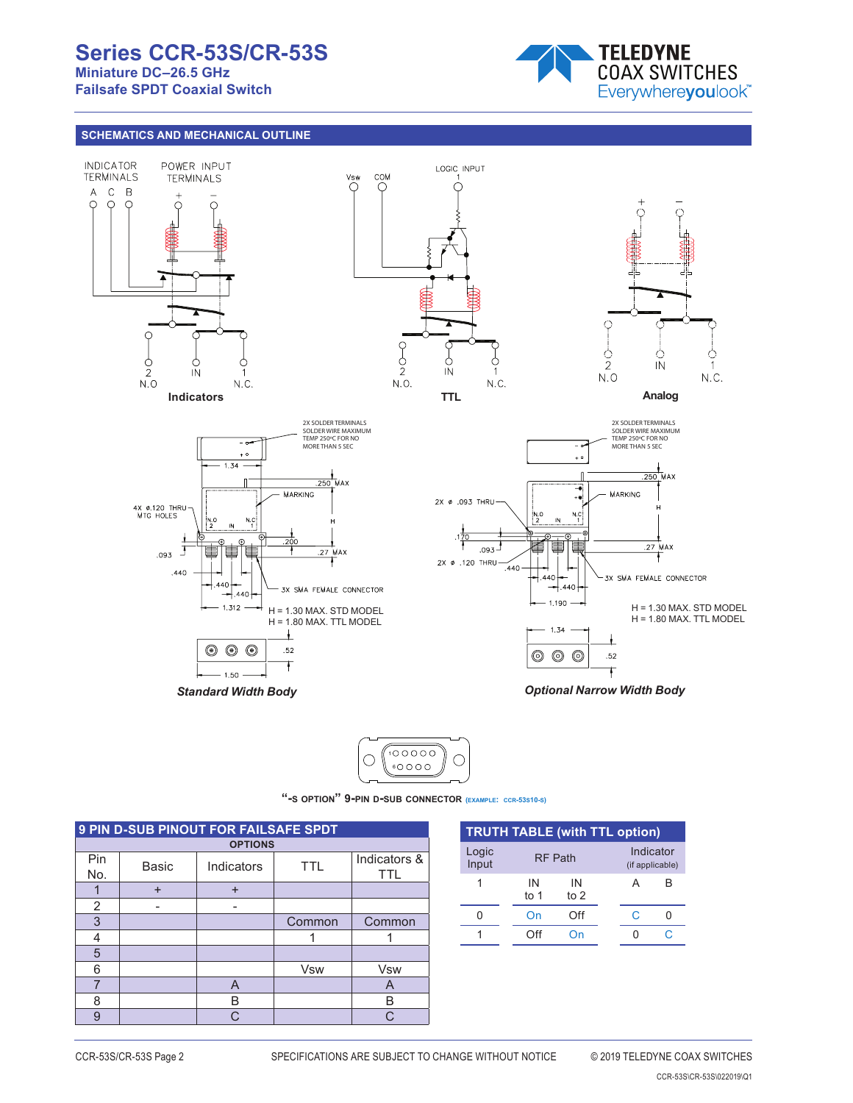## **Series CCR-53S/CR-53S Miniature DC–26.5 GHz**

**Failsafe SPDT Coaxial Switch**



## **SCHEMATICS AND MECHANICAL OUTLINE**





P/N 2706650 **"-s option" 9-pin d-sub connector (example: ccr-53s10-s)**

| 9 PIN D-SUB PINOUT FOR FAILSAFE SPDT |              |            |                            |            |  |  |  |  |
|--------------------------------------|--------------|------------|----------------------------|------------|--|--|--|--|
| <b>OPTIONS</b>                       |              |            |                            |            |  |  |  |  |
| Pin<br>No.                           | <b>Basic</b> | <b>TTL</b> | Indicators &<br><b>TTL</b> |            |  |  |  |  |
|                                      | $\ddot{}$    | $\ddot{}$  |                            |            |  |  |  |  |
| 2                                    |              |            |                            |            |  |  |  |  |
| 3                                    |              |            | Common                     | Common     |  |  |  |  |
| 4                                    |              |            |                            |            |  |  |  |  |
| 5                                    |              |            |                            |            |  |  |  |  |
| 6                                    |              |            | <b>Vsw</b>                 | <b>Vsw</b> |  |  |  |  |
| 7                                    |              | A          |                            | A          |  |  |  |  |
| 8                                    |              | B          |                            | B          |  |  |  |  |
| $\mathbf{Q}$                         |              | $\cap$     |                            | ◠          |  |  |  |  |

| <b>TRUTH TABLE (with TTL option)</b> |              |                |                              |   |  |  |  |
|--------------------------------------|--------------|----------------|------------------------------|---|--|--|--|
| Logic<br>Input                       |              | <b>RF Path</b> | Indicator<br>(if applicable) |   |  |  |  |
|                                      | IN<br>to $1$ | IN<br>to $2$   |                              | А |  |  |  |
|                                      | On           | Off            |                              | C |  |  |  |
|                                      | ገff          |                |                              |   |  |  |  |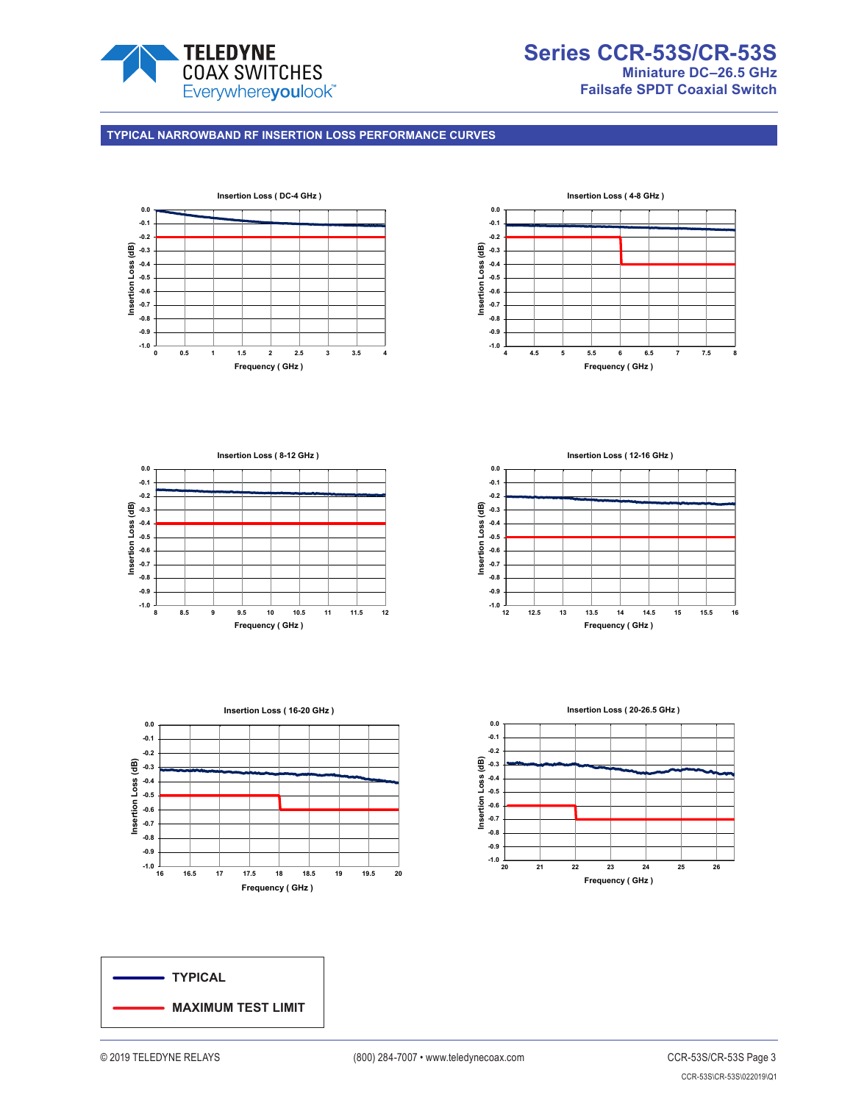

#### **TYPICAL NARROWBAND RF INSERTION LOSS PERFORMANCE CURVES**









**Insertion Loss ( 12-16 GHz ) 0.0 -0.1 -0.2** Insertion Loss (dB) **Insertion Loss (dB) -0.3 -0.4 -0.5 -0.6 -0.7 -0.8 -0.9**  $-1.0$   $\frac{1}{12}$ **12 12.5 13 13.5 14 14.5 15 15.5 16 Frequency ( GHz )**



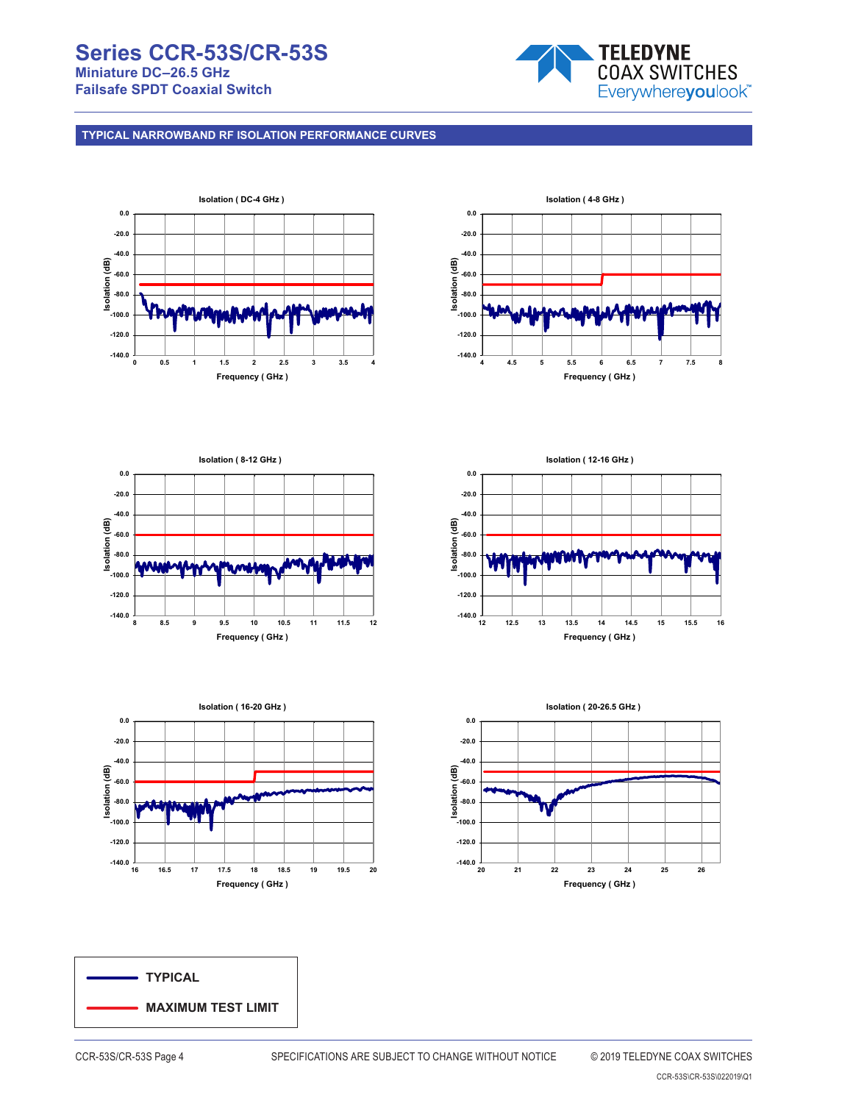## **Series CCR-53S/CR-53S Miniature DC–26.5 GHz Failsafe SPDT Coaxial Switch**



**TYPICAL NARROWBAND RF ISOLATION PERFORMANCE CURVES**













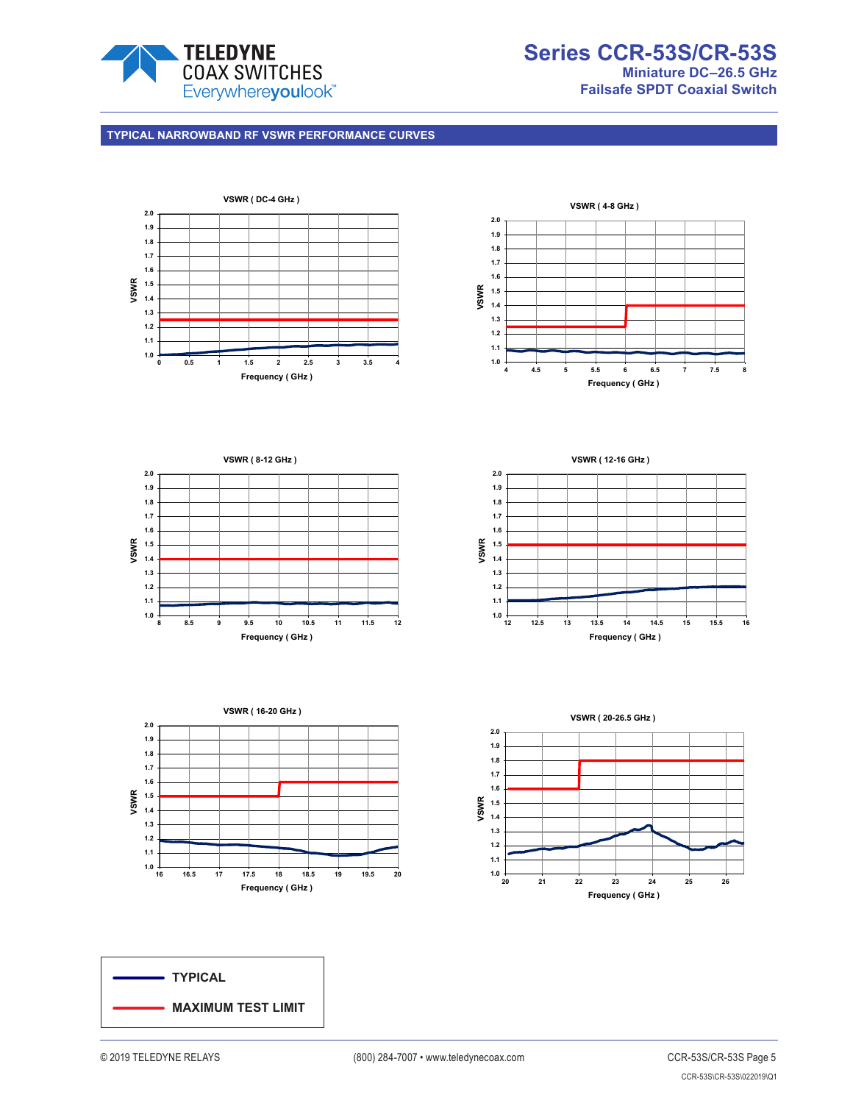

**Series CCR-53S/CR-53S Miniature DC–26.5 GHz Failsafe SPDT Coaxial Switch**

## **TYPICAL NARROWBAND RF VSWR PERFORMANCE CURVES**











**VSWR ( 12-16 GHz )**



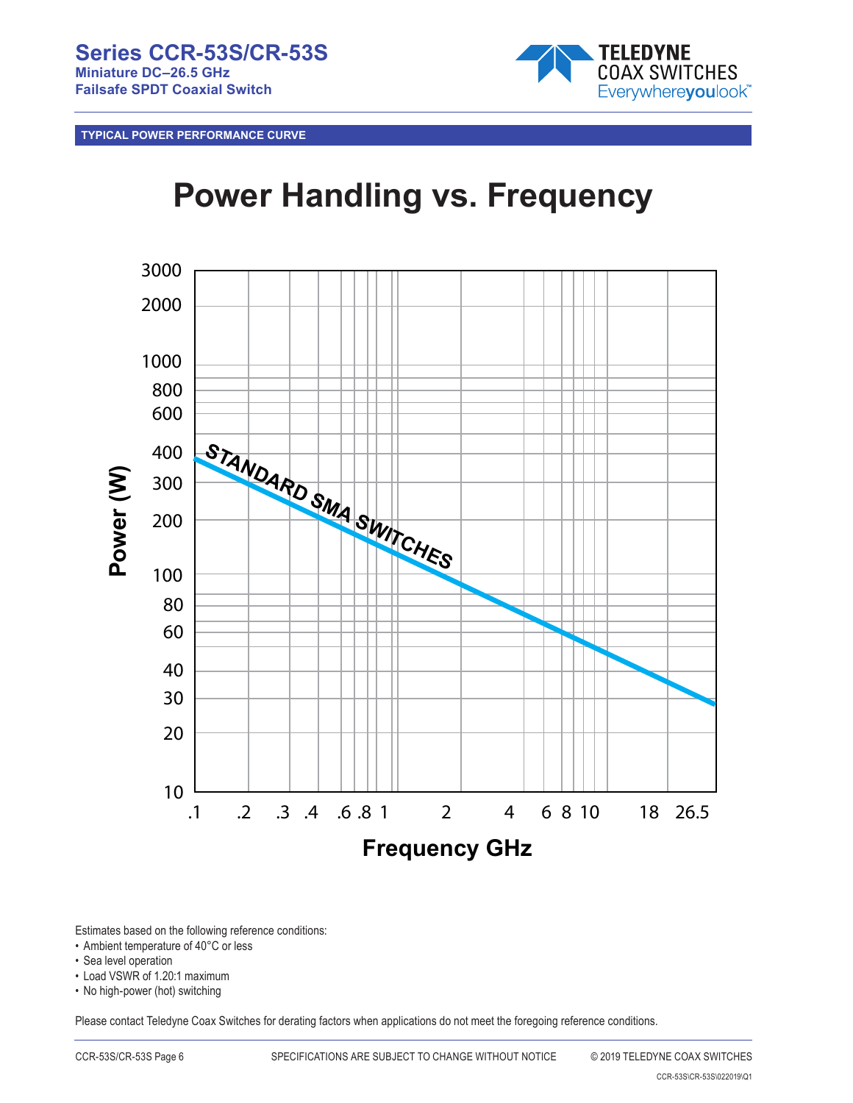

**TYPICAL POWER PERFORMANCE CURVE**

# **Power Handling vs. Frequency**



Estimates based on the following reference conditions:

- Ambient temperature of 40°C or less
- Sea level operation
- Load VSWR of 1.20:1 maximum

• No high-power (hot) switching

Please contact Teledyne Coax Switches for derating factors when applications do not meet the foregoing reference conditions.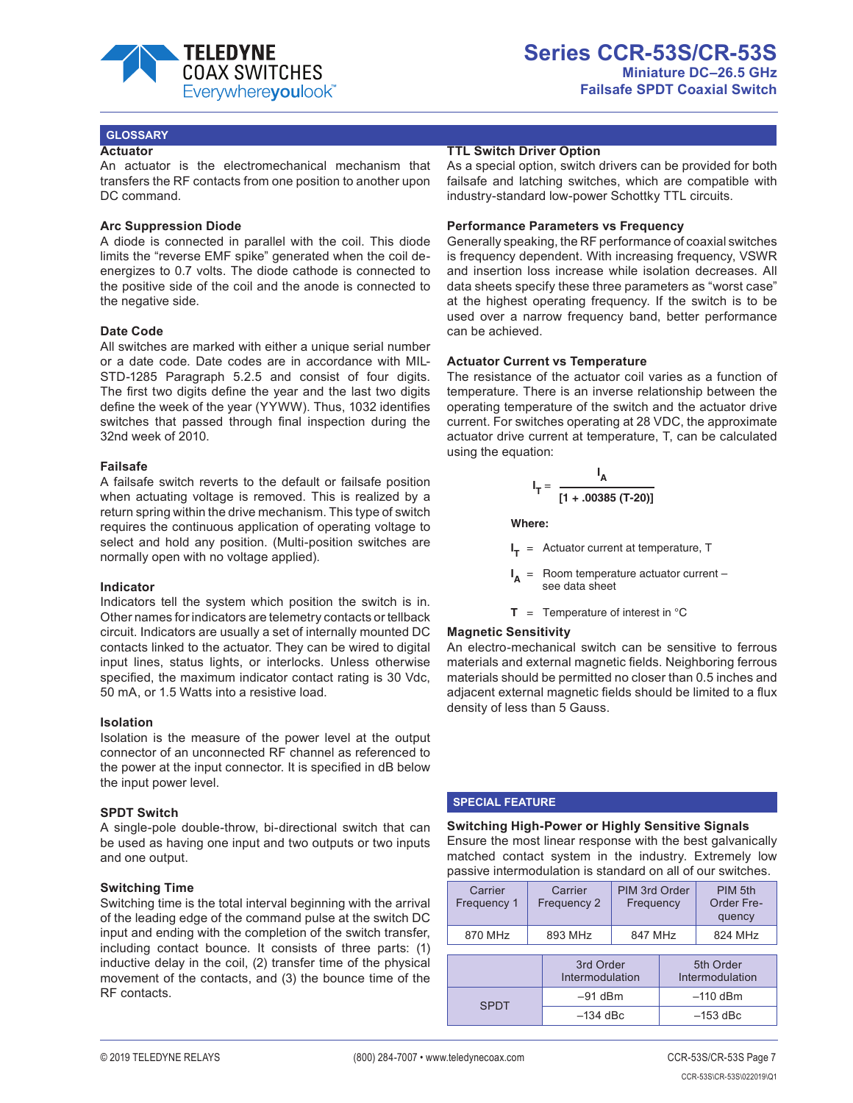

#### **GLOSSARY**

#### **Actuator**

An actuator is the electromechanical mechanism that transfers the RF contacts from one position to another upon DC command.

#### **Arc Suppression Diode**

A diode is connected in parallel with the coil. This diode limits the "reverse EMF spike" generated when the coil deenergizes to 0.7 volts. The diode cathode is connected to the positive side of the coil and the anode is connected to the negative side.

#### **Date Code**

All switches are marked with either a unique serial number or a date code. Date codes are in accordance with MIL-STD-1285 Paragraph 5.2.5 and consist of four digits. The first two digits define the year and the last two digits define the week of the year (YYWW). Thus, 1032 identifies switches that passed through final inspection during the 32nd week of 2010.

#### **Failsafe**

A failsafe switch reverts to the default or failsafe position when actuating voltage is removed. This is realized by a return spring within the drive mechanism. This type of switch requires the continuous application of operating voltage to select and hold any position. (Multi-position switches are normally open with no voltage applied).

#### **Indicator**

Indicators tell the system which position the switch is in. Other names for indicators are telemetry contacts or tellback circuit. Indicators are usually a set of internally mounted DC contacts linked to the actuator. They can be wired to digital input lines, status lights, or interlocks. Unless otherwise specified, the maximum indicator contact rating is 30 Vdc, 50 mA, or 1.5 Watts into a resistive load.

#### **Isolation**

Isolation is the measure of the power level at the output connector of an unconnected RF channel as referenced to the power at the input connector. It is specified in dB below the input power level.

#### **SPDT Switch**

A single-pole double-throw, bi-directional switch that can be used as having one input and two outputs or two inputs and one output.

#### **Switching Time**

Switching time is the total interval beginning with the arrival of the leading edge of the command pulse at the switch DC input and ending with the completion of the switch transfer, including contact bounce. It consists of three parts: (1) inductive delay in the coil, (2) transfer time of the physical movement of the contacts, and (3) the bounce time of the RF contacts.

#### **TTL Switch Driver Option**

As a special option, switch drivers can be provided for both failsafe and latching switches, which are compatible with industry-standard low-power Schottky TTL circuits.

#### **Performance Parameters vs Frequency**

Generally speaking, the RF performance of coaxial switches is frequency dependent. With increasing frequency, VSWR and insertion loss increase while isolation decreases. All data sheets specify these three parameters as "worst case" at the highest operating frequency. If the switch is to be used over a narrow frequency band, better performance can be achieved.

#### **Actuator Current vs Temperature**

The resistance of the actuator coil varies as a function of temperature. There is an inverse relationship between the operating temperature of the switch and the actuator drive current. For switches operating at 28 VDC, the approximate actuator drive current at temperature, T, can be calculated using the equation:

$$
I_T = \frac{I_A}{[1 + .00385 (T-20)]}
$$

**Where:**

**I <sup>T</sup>** = Actuator current at temperature, T

**I** Room temperature actuator current see data sheet

**T** = Temperature of interest in  $^{\circ}$ C

#### **Magnetic Sensitivity**

An electro-mechanical switch can be sensitive to ferrous materials and external magnetic fields. Neighboring ferrous materials should be permitted no closer than 0.5 inches and adjacent external magnetic fields should be limited to a flux density of less than 5 Gauss.

#### **SPECIAL FEATURE**

**Switching High-Power or Highly Sensitive Signals** Ensure the most linear response with the best galvanically matched contact system in the industry. Extremely low passive intermodulation is standard on all of our switches.

| Carrier<br>Frequency 1 | Carrier<br>Frequency 2       | PIM 3rd Order<br>Frequency |                              | PIM 5th<br>Order Fre-<br>quency |
|------------------------|------------------------------|----------------------------|------------------------------|---------------------------------|
| 870 MHz                | 893 MHz                      | 847 MHz                    |                              | 824 MHz                         |
|                        | 3rd Order<br>Intermodulation |                            | 5th Order<br>Intermodulation |                                 |
| <b>SPDT</b>            |                              | $-91$ dBm                  |                              | $-110$ dBm                      |
|                        |                              | $-134$ dBc                 |                              | $-153$ dBc                      |